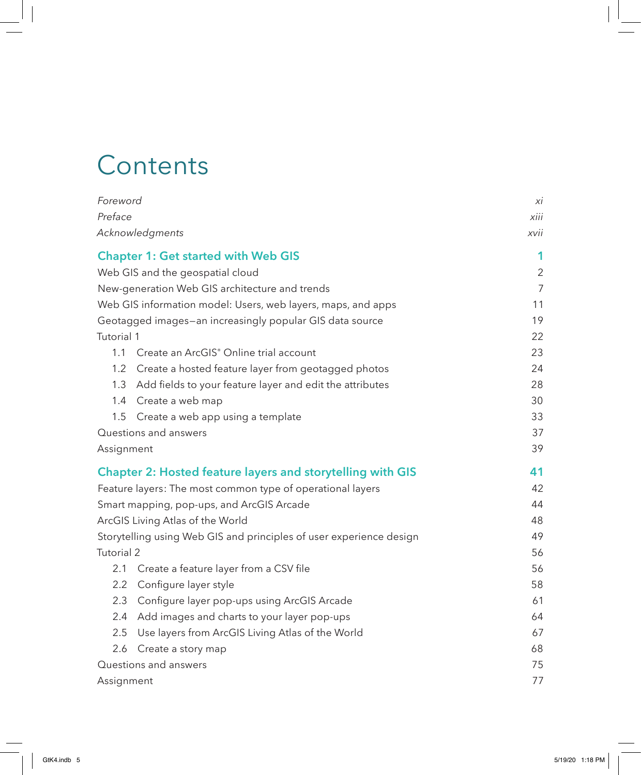## **Contents**

| Foreword                                                            |                                                                   | XI             |
|---------------------------------------------------------------------|-------------------------------------------------------------------|----------------|
| Preface                                                             |                                                                   | xiii           |
|                                                                     | Acknowledgments                                                   | xvii           |
| <b>Chapter 1: Get started with Web GIS</b>                          |                                                                   | 1              |
| Web GIS and the geospatial cloud                                    |                                                                   | $\overline{2}$ |
| New-generation Web GIS architecture and trends                      |                                                                   | $\overline{7}$ |
| Web GIS information model: Users, web layers, maps, and apps        |                                                                   | 11             |
| Geotagged images-an increasingly popular GIS data source            |                                                                   | 19             |
| Tutorial 1                                                          |                                                                   | 22             |
|                                                                     | 1.1 Create an ArcGIS® Online trial account                        | 23             |
| 1.2                                                                 | Create a hosted feature layer from geotagged photos               | 24             |
| 1.3                                                                 | Add fields to your feature layer and edit the attributes          | 28             |
|                                                                     | 1.4 Create a web map                                              | 30             |
| 1.5                                                                 | Create a web app using a template                                 | 33             |
|                                                                     | Questions and answers                                             | 37             |
| Assignment                                                          |                                                                   | 39             |
|                                                                     | <b>Chapter 2: Hosted feature layers and storytelling with GIS</b> | 41             |
| Feature layers: The most common type of operational layers          |                                                                   | 42             |
| Smart mapping, pop-ups, and ArcGIS Arcade                           |                                                                   | 44             |
| ArcGIS Living Atlas of the World                                    |                                                                   | 48             |
| Storytelling using Web GIS and principles of user experience design |                                                                   | 49             |
| Tutorial 2                                                          |                                                                   | 56             |
| 2.1                                                                 | Create a feature layer from a CSV file                            | 56             |
| $2.2^{\circ}$                                                       | Configure layer style                                             | 58             |
| 2.3                                                                 | Configure layer pop-ups using ArcGIS Arcade                       | 61             |
| 2.4                                                                 | Add images and charts to your layer pop-ups                       | 64             |
| 2.5                                                                 | Use layers from ArcGIS Living Atlas of the World                  | 67             |
| 2.6                                                                 | Create a story map                                                | 68             |
| Questions and answers                                               |                                                                   | 75             |
| Assignment                                                          |                                                                   | 77             |
|                                                                     |                                                                   |                |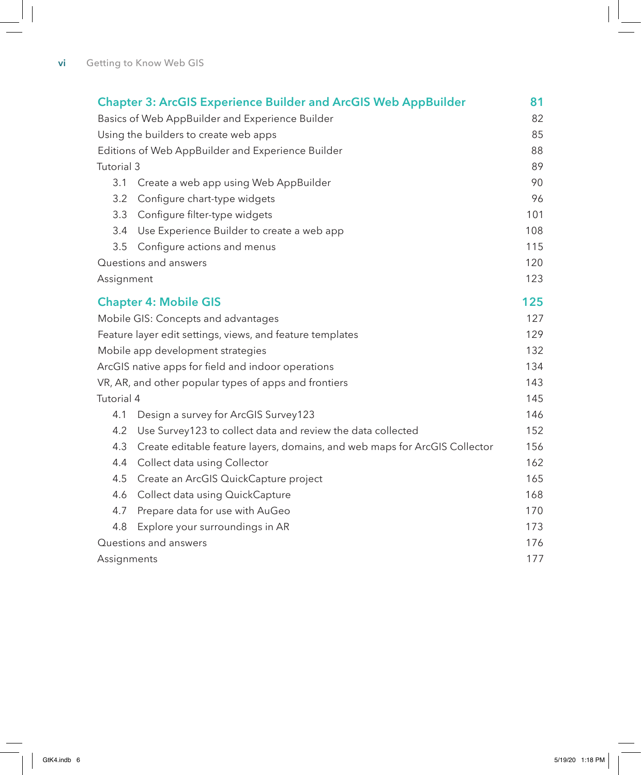| <b>Chapter 3: ArcGIS Experience Builder and ArcGIS Web AppBuilder</b> |                                                                            |     |
|-----------------------------------------------------------------------|----------------------------------------------------------------------------|-----|
| Basics of Web AppBuilder and Experience Builder                       |                                                                            | 82  |
| Using the builders to create web apps                                 |                                                                            | 85  |
| Editions of Web AppBuilder and Experience Builder                     |                                                                            | 88  |
| Tutorial 3                                                            |                                                                            | 89  |
| 3.1                                                                   | Create a web app using Web AppBuilder                                      | 90  |
| 3.2                                                                   | Configure chart-type widgets                                               | 96  |
| 3.3                                                                   | Configure filter-type widgets                                              | 101 |
| 3.4                                                                   | Use Experience Builder to create a web app                                 | 108 |
| 3.5                                                                   | Configure actions and menus                                                | 115 |
|                                                                       | Questions and answers                                                      | 120 |
|                                                                       | Assignment                                                                 |     |
|                                                                       | <b>Chapter 4: Mobile GIS</b>                                               | 125 |
| Mobile GIS: Concepts and advantages                                   |                                                                            | 127 |
|                                                                       | Feature layer edit settings, views, and feature templates                  | 129 |
| Mobile app development strategies                                     |                                                                            | 132 |
| ArcGIS native apps for field and indoor operations                    |                                                                            | 134 |
| VR, AR, and other popular types of apps and frontiers                 |                                                                            | 143 |
| Tutorial 4                                                            |                                                                            | 145 |
| 4.1                                                                   | Design a survey for ArcGIS Survey123                                       | 146 |
| 4.2                                                                   | Use Survey123 to collect data and review the data collected                | 152 |
| 4.3                                                                   | Create editable feature layers, domains, and web maps for ArcGIS Collector | 156 |
| 4.4                                                                   | Collect data using Collector                                               | 162 |
| 4.5                                                                   | Create an ArcGIS QuickCapture project                                      | 165 |
| 4.6                                                                   | Collect data using QuickCapture                                            | 168 |
| 4.7                                                                   | Prepare data for use with AuGeo                                            | 170 |
| 4.8                                                                   | Explore your surroundings in AR                                            | 173 |
| Questions and answers                                                 |                                                                            | 176 |
| Assignments                                                           |                                                                            | 177 |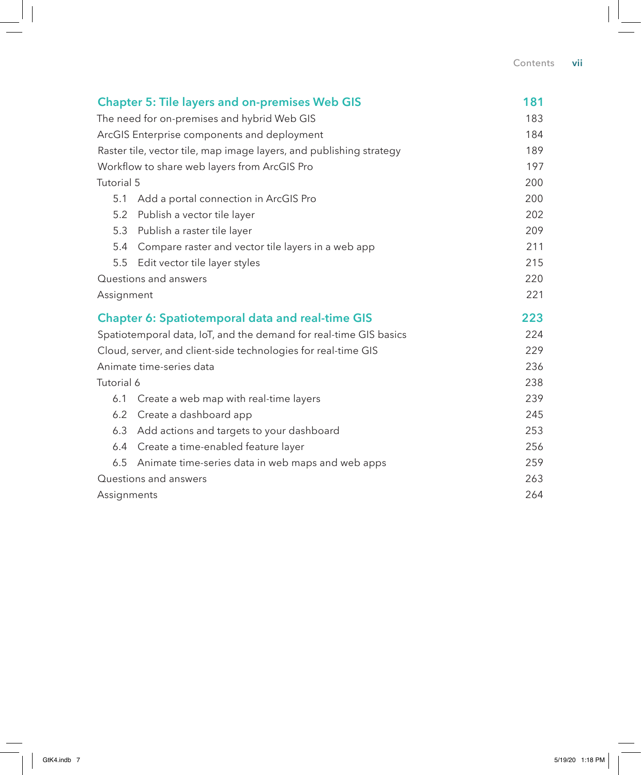| <b>Chapter 5: Tile layers and on-premises Web GIS</b>             |                                                                     | 181 |
|-------------------------------------------------------------------|---------------------------------------------------------------------|-----|
| The need for on-premises and hybrid Web GIS                       |                                                                     | 183 |
| ArcGIS Enterprise components and deployment                       |                                                                     | 184 |
|                                                                   | Raster tile, vector tile, map image layers, and publishing strategy | 189 |
| Workflow to share web layers from ArcGIS Pro                      |                                                                     | 197 |
| Tutorial 5                                                        |                                                                     | 200 |
| 5.1                                                               | Add a portal connection in ArcGIS Pro                               | 200 |
| 5.2                                                               | Publish a vector tile layer                                         | 202 |
| 5.3                                                               | Publish a raster tile layer                                         | 209 |
| 5.4                                                               | Compare raster and vector tile layers in a web app                  | 211 |
| 5.5                                                               | Edit vector tile layer styles                                       | 215 |
| Questions and answers                                             |                                                                     | 220 |
| Assignment                                                        |                                                                     | 221 |
| <b>Chapter 6: Spatiotemporal data and real-time GIS</b>           |                                                                     | 223 |
| Spatiotemporal data, IoT, and the demand for real-time GIS basics |                                                                     | 224 |
| Cloud, server, and client-side technologies for real-time GIS     |                                                                     | 229 |
| Animate time-series data                                          |                                                                     | 236 |
| Tutorial 6                                                        |                                                                     | 238 |
| 6.1                                                               | Create a web map with real-time layers                              | 239 |
| 6.2                                                               | Create a dashboard app                                              | 245 |
| 6.3                                                               | Add actions and targets to your dashboard                           | 253 |
| 6.4                                                               | Create a time-enabled feature layer                                 | 256 |
| 6.5                                                               | Animate time-series data in web maps and web apps                   | 259 |
|                                                                   | Questions and answers                                               | 263 |
| Assignments                                                       |                                                                     | 264 |
|                                                                   |                                                                     |     |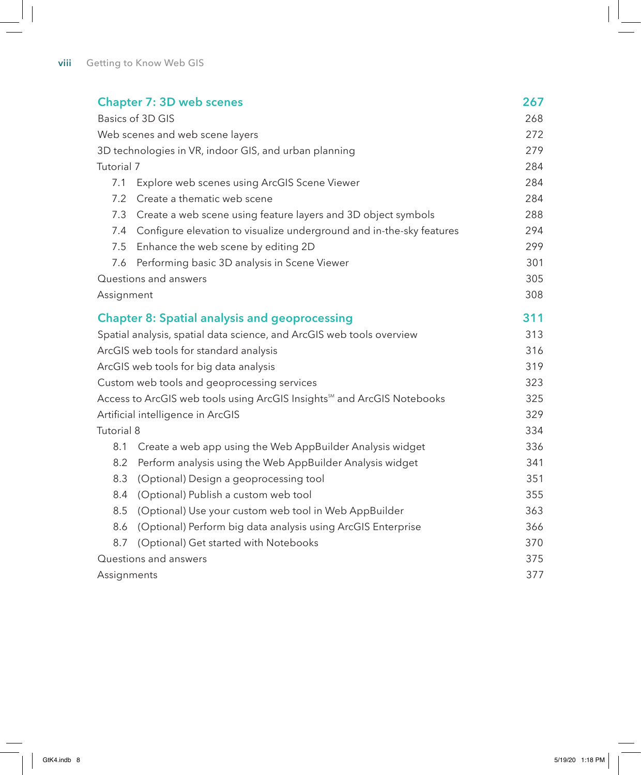| <b>Chapter 7: 3D web scenes</b>                                                      |                                                                      | 267 |
|--------------------------------------------------------------------------------------|----------------------------------------------------------------------|-----|
| Basics of 3D GIS                                                                     |                                                                      | 268 |
| Web scenes and web scene layers                                                      |                                                                      | 272 |
| 3D technologies in VR, indoor GIS, and urban planning                                |                                                                      | 279 |
| Tutorial 7                                                                           |                                                                      | 284 |
| 7.1                                                                                  | Explore web scenes using ArcGIS Scene Viewer                         | 284 |
| 7.2                                                                                  | Create a thematic web scene                                          | 284 |
| 7.3                                                                                  | Create a web scene using feature layers and 3D object symbols        | 288 |
| 7.4                                                                                  | Configure elevation to visualize underground and in-the-sky features | 294 |
| 7.5                                                                                  | Enhance the web scene by editing 2D                                  | 299 |
| 7.6                                                                                  | Performing basic 3D analysis in Scene Viewer                         | 301 |
|                                                                                      | Questions and answers                                                | 305 |
| Assignment                                                                           |                                                                      | 308 |
|                                                                                      | <b>Chapter 8: Spatial analysis and geoprocessing</b>                 | 311 |
| Spatial analysis, spatial data science, and ArcGIS web tools overview                |                                                                      | 313 |
| ArcGIS web tools for standard analysis                                               |                                                                      | 316 |
| ArcGIS web tools for big data analysis                                               |                                                                      | 319 |
| Custom web tools and geoprocessing services                                          |                                                                      | 323 |
| Access to ArcGIS web tools using ArcGIS Insights <sup>506</sup> and ArcGIS Notebooks |                                                                      | 325 |
| Artificial intelligence in ArcGIS                                                    |                                                                      | 329 |
| Tutorial 8                                                                           |                                                                      | 334 |
| 8.1                                                                                  | Create a web app using the Web AppBuilder Analysis widget            | 336 |
| 8.2                                                                                  | Perform analysis using the Web AppBuilder Analysis widget            | 341 |
| 8.3                                                                                  | (Optional) Design a geoprocessing tool                               | 351 |
| 8.4                                                                                  | (Optional) Publish a custom web tool                                 | 355 |
| 8.5                                                                                  | (Optional) Use your custom web tool in Web AppBuilder                | 363 |
| 8.6                                                                                  | (Optional) Perform big data analysis using ArcGIS Enterprise         | 366 |
| 8.7                                                                                  | (Optional) Get started with Notebooks                                | 370 |
| Questions and answers                                                                |                                                                      | 375 |
| Assignments                                                                          |                                                                      | 377 |